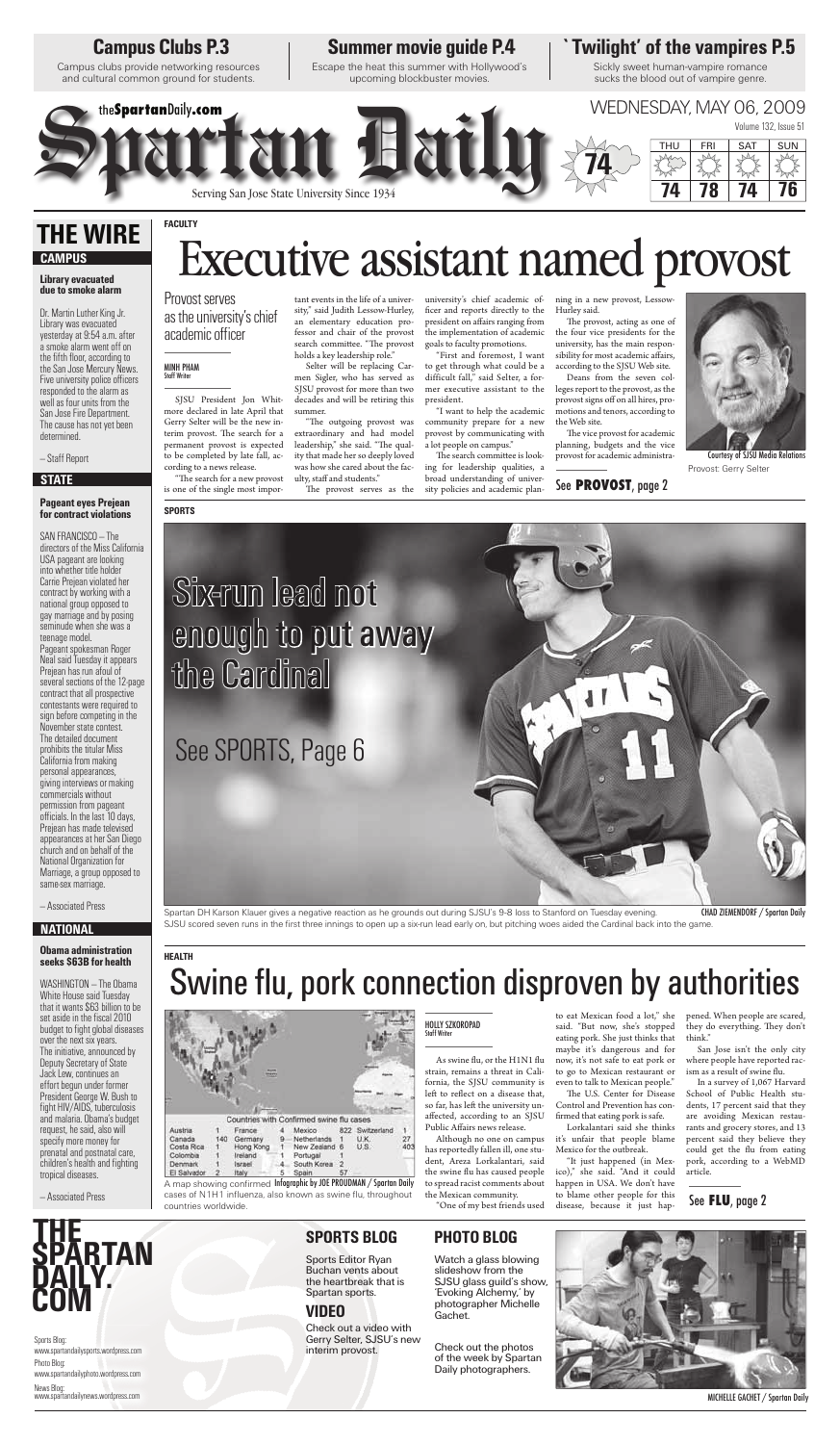Although no one on campus has reportedly fallen ill, one student, Areza Lorkalantari, said the swine flu has caused people to spread racist comments about the Mexican community.

"One of my best friends used

San Jose isn't the only city where people have reported racism as a result of swine flu.

to eat Mexican food a lot," she said. "But now, she's stopped eating pork. She just thinks that maybe it's dangerous and for now, it's not safe to eat pork or to go to Mexican restaurant or even to talk to Mexican people."

The U.S. Center for Disease Control and Prevention has confirmed that eating pork is safe.

Lorkalantari said she thinks it's unfair that people blame Mexico for the outbreak.

"The search for a new provost is one of the single most impor-

> "It just happened (in Mexico)," she said. "And it could happen in USA. We don't have to blame other people for this disease, because it just hap

pened. When people are scared, they do everything. They don't think."

"The outgoing provost was extraordinary and had model leadership," she said. "The quality that made her so deeply loved was how she cared about the faculty, staff and students."

The provost serves as the

In a survey of 1,067 Harvard School of Public Health students, 17 percent said that they are avoiding Mexican restaurants and grocery stores, and 13 percent said they believe they could get the flu from eating pork, according to a WebMD article.

The search committee is looking for leadership qualities, a broad understanding of university policies and academic plan-

The provost, acting as one of the four vice presidents for the university, has the main responsibility for most academic affairs, according to the SJSU Web site.

SJSU President Jon Whitmore declared in late April that Gerry Selter will be the new interim provost. The search for a permanent provost is expected to be completed by late fall, according to a news release.

The vice provost for academic planning, budgets and the vice provost for academic administra-

tant events in the life of a university," said Judith Lessow-Hurley,

an elementary education professor and chair of the provost search committee. "The provost holds a key leadership role." Selter will be replacing Car-

men Sigler, who has served as SJSU provost for more than two decades and will be retiring this summer.

university's chief academic officer and reports directly to the president on affairs ranging from the implementation of academic goals to faculty promotions.

"First and foremost, I want to get through what could be a difficult fall," said Selter, a former executive assistant to the president.

"I want to help the academic community prepare for a new provost by communicating with a lot people on campus."

ning in a new provost, Lessow-Hurley said.

Deans from the seven colleges report to the provost, as the provost signs off on all hires, promotions and tenors, according to the Web site.

#### Provost serves as the university's chief academic officer

A map showing confirmed I**nfographic by JOE PROUDMAN / Spartan Daily** cases of N1H1 influenza, also known as swine flu, throughout countries worldwide.

### **Campus Clubs P.3**

Campus clubs provide networking resources and cultural common ground for students.

### **SPORTS BLOG**

#### **VIDEO**

Sports Editor Ryan Buchan vents about the heartbreak that is Spartan sports.

Check out a video with Gerry Selter, SJSU's new interim provost.

MICHELLE GACHET / Spartan Daily

## **Summer movie guide P.4 `Twilight' of the vampires P.5**

Escape the heat this summer with Hollywood's upcoming blockbuster movies.

Sickly sweet human-vampire romance sucks the blood out of vampire genre.

### **PHOTO BLOG**

Watch a glass blowing slideshow from the SJSU glass guild's show, 'Evoking Alchemy,' by photographer Michelle Gachet.

Check out the photos of the week by Spartan Daily photographers.



Sports Blog: www.spartandailysports.wordpress.com Photo Blog: www.spartandailyphoto.wordpress.com News Blog: www.spartandailynews.wordpress.com

# **THE SPARTAN DAILY. COM**

#### **Library evacuated due to smoke alarm**

Dr. Martin Luther King Jr. Library was evacuated yesterday at 9:54 a.m. after a smoke alarm went off on the fifth floor, according to the San Jose Mercury News. Five university police officers responded to the alarm as well as four units from the San Jose Fire Department. The cause has not yet been determined.

> Spartan DH Karson Klauer gives a negative reaction as he grounds out during SJSU's 9-8 loss to Stanford on Tuesday evening. SJSU scored seven runs in the first three innings to open up a six-run lead early on, but pitching woes aided the Cardinal back into the game. CHAD ZIEMENDORF / Spartan Daily

— Staff Report

#### **Pageant eyes Prejean for contract violations**



SAN FRANCISCO — The directors of the Miss California USA pageant are looking into whether title holder Carrie Prejean violated her contract by working with a national group opposed to gay marriage and by posing seminude when she was a teenage model. Pageant spokesman Roger Neal said Tuesday it appears Prejean has run afoul of several sections of the 12-page contract that all prospective contestants were required to sign before competing in the November state contest. The detailed document prohibits the titular Miss California from making personal appearances, giving interviews or making commercials without permission from pageant officials. In the last 10 days. Prejean has made televised

appearances at her San Diego church and on behalf of the National Organization for Marriage, a group opposed to same-sex marriage.

— Associated Press

#### **Obama administration seeks \$63B for health**

WASHINGTON — The Obama White House said Tuesday that it wants \$63 billion to be set aside in the fiscal 2010 budget to fight global diseases over the next six years. The initiative, announced by Deputy Secretary of State Jack Lew, continues an effort begun under former President George W. Bush to fight HIV/AIDS, tuberculosis and malaria. Obama's budget request, he said, also will specify more money for prenatal and postnatal care, children's health and fighting tropical diseases.

— Associated Press

### **THE WIRE CAMPUS**

#### **STATE**

#### **NATIONAL**

#### MINH PHAM Staff Writer

#### **HEALTH**

# Swine flu, pork connection disproven by authorities



#### **SPORTS**

#### See **FLU**, page 2

#### See **PROVOST**, page 2



# **FACULTY** Executive assistant named provost

#### HOLLY SZKOROPAD Staff Writer

As swine flu, or the H1N1 flu strain, remains a threat in California, the SJSU community is left to reflect on a disease that, so far, has left the university unaffected, according to an SJSU Public Affairs news release.

Provost: Gerry Selter Courtesy of SJSU Media Relations

# enough to put away the Cardinal

See SPORTS, Page 6

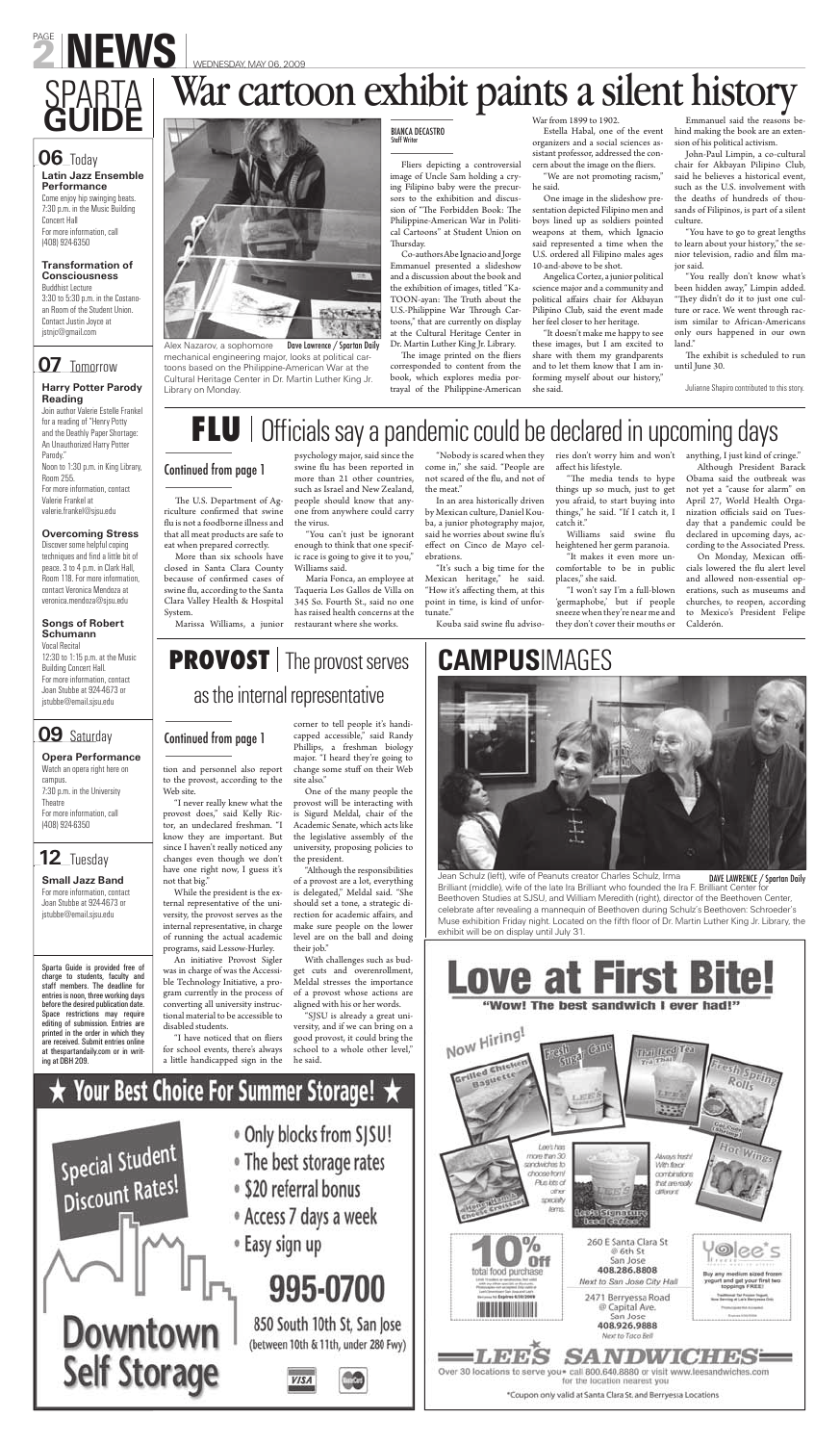# PAGE NEWS WEDNESDAY, MAY 06, 2009

Alex Nazarov, a sophomore Dave Lawrence / Spartan Daily mechanical engineering major, looks at political cartoons based on the Philippine-American War at the Cultural Heritage Center in Dr. Martin Luther King Jr. Library on Monday.

tion and personnel also report to the provost, according to the Web site.

"I never really knew what the provost does," said Kelly Ric-is Sigurd Meldal, chair of the tor, an undeclared freshman. "I Academic Senate, which acts like know they are important. But the legislative assembly of the since I haven't really noticed any changes even though we don't have one right now, I guess it's not that big." While the president is the external representative of the university, the provost serves as the internal representative, in charge of running the actual academic programs, said Lessow-Hurley. An initiative Provost Sigler was in charge of was the Accessible Technology Initiative, a program currently in the process of converting all university instructional material to be accessible to disabled students.

The U.S. Department of Agriculture confirmed that swine flu is not a foodborne illness and that all meat products are safe to eat when prepared correctly.

> corner to tell people it's handicapped accessible," said Randy Phillips, a freshman biology major. "I heard they're going to change some stuff on their Web site also."

One of the many people the provost will be interacting with

university, proposing policies to

the president.

"Although the responsibilities of a provost are a lot, everything is delegated," Meldal said. "She should set a tone, a strategic direction for academic affairs, and make sure people on the lower level are on the ball and doing their job."

ries don't worry him and won't affect his lifestyle.

"The media tends to hype things up so much, just to get you afraid, to start buying into things," he said. "If I catch it, I catch it."

With challenges such as budget cuts and overenrollment, Meldal stresses the importance of a provost whose actions are aligned with his or her words.

Williams said swine flu heightened her germ paranoia.

"SJSU is already a great university, and if we can bring on a good provost, it could bring the school to a whole other level," he said.

# Your Best Choice For Summer Storage!  $\star$



- . Only blocks from SJSU!
- The best storage rates
- · \$20 referral bonus
- Access 7 days a week
- <sup>®</sup> Easy sign up

# 995-0700

850 South 10th St, San Jose (between 10th & 11th, under 280 Fwy)



On Monday, Mexican officials lowered the flu alert level and allowed non-essential operations, such as museums and churches, to reopen, according to Mexico's President Felipe Calderón.

Fliers depicting a controversial image of Uncle Sam holding a crying Filipino baby were the precursors to the exhibition and discussion of "The Forbidden Book: The Philippine-American War in Political Cartoons" at Student Union on Thursday.

More than six schools have closed in Santa Clara County because of confirmed cases of swine flu, according to the Santa Clara Valley Health & Hospital System.

Marissa Williams, a junior

psychology major, said since the swine flu has been reported in more than 21 other countries, such as Israel and New Zealand, people should know that anyone from anywhere could carry the virus.

The image printed on the fliers corresponded to content from the book, which explores media portrayal of the Philippine-American

Estella Habal, one of the event organizers and a social sciences assistant professor, addressed the concern about the image on the fliers.

"You can't just be ignorant enough to think that one specific race is going to give it to you," Williams said.

Maria Fonca, an employee at Taqueria Los Gallos de Villa on 345 So. Fourth St., said no one has raised health concerns at the restaurant where she works.

"Nobody is scared when they come in," she said. "People are not scared of the flu, and not of the meat."

In an area historically driven by Mexican culture, Daniel Kouba, a junior photography major, said he worries about swine flu's effect on Cinco de Mayo celebrations.

"It's such a big time for the Mexican heritage," he said. "How it's affecting them, at this point in time, is kind of unfortunate."

Kouba said swine flu adviso-

The exhibit is scheduled to run until June 30.

"It makes it even more uncomfortable to be in public places," she said.

"I won't say I'm a full-blown 'germaphobe,' but if people sneeze when they're near me and they don't cover their mouths or

anything, I just kind of cringe."

Although President Barack Obama said the outbreak was not yet a "cause for alarm" on April 27, World Health Organization officials said on Tuesday that a pandemic could be declared in upcoming days, according to the Associated Press.

## **PROVOST** | The provost serves as the internal representative

Co-authors Abe Ignacio and Jorge Emmanuel presented a slideshow and a discussion about the book and the exhibition of images, titled "Ka-TOON-ayan: The Truth about the U.S.-Philippine War Through Cartoons," that are currently on display at the Cultural Heritage Center in Dr. Martin Luther King Jr. Library.

War from 1899 to 1902.

"We are not promoting racism," he said.

One image in the slideshow presentation depicted Filipino men and boys lined up as soldiers pointed weapons at them, which Ignacio said represented a time when the U.S. ordered all Filipino males ages 10-and-above to be shot.

Angelica Cortez, a junior political science major and a community and political affairs chair for Akbayan Pilipino Club, said the event made her feel closer to her heritage.

"It doesn't make me happy to see these images, but I am excited to share with them my grandparents and to let them know that I am informing myself about our history," she said.

Emmanuel said the reasons behind making the book are an extension of his political activism.

John-Paul Limpin, a co-cultural chair for Akbayan Pilipino Club, said he believes a historical event, such as the U.S. involvement with the deaths of hundreds of thousands of Filipinos, is part of a silent culture.

"You have to go to great lengths to learn about your history," the senior television, radio and film major said.

"You really don't know what's been hidden away," Limpin added. "They didn't do it to just one culture or race. We went through racism similar to African-Americans only ours happened in our own land."

Julianne Shapiro contributed to this story.

# FLU | Officials say a pandemic could be declared in upcoming days

#### **Latin Jazz Ensemble Performance** Come enjoy hip swinging beats. 7:30 p.m. in the Music Building

Concert Hall For more information, call (408) 924-6350

#### **Transformation of Consciousness** Buddhist Lecture

3:30 to 5:30 p.m. in the Costanoan Room of the Student Union. Contact Justin Joyce at jstnjc@gmail.com

### **07** Tomorrow

#### **Harry Potter Parody Reading**

Join author Valerie Estelle Frankel for a reading of "Henry Potty and the Deathly Paper Shortage: An Unauthorized Harry Potter Parody." Noon to 1:30 p.m. in King Library, Room 255. For more information, contact

Valerie Frankel at valerie.frankel@sjsu.edu

#### **Overcoming Stress**

Discover some helpful coping techniques and find a little bit of peace. 3 to 4 p.m. in Clark Hall, Room 118. For more information, contact Veronica Mendoza at veronica.mendoza@sjsu.edu

#### **Songs of Robert Schumann**

Vocal Recital 12:30 to 1:15 p.m. at the Music Building Concert Hall. For more information, contact Joan Stubbe at 924-4673 or jstubbe@email.sjsu.edu

### **09** Saturday

#### **Opera Performance**

Watch an opera right here on campus. 7:30 p.m. in the University Theatre For more information, call (408) 924-6350

# **SPARTA** War cartoon exhibit paints a silent history Emmanuel said the reasons be **GUIDE**



**Small Jazz Band** For more information, contact Joan Stubbe at 924-4673 or jstubbe@email.sjsu.edu

Sparta Guide is provided free of charge to students, faculty and staff members. The deadline for entries is noon, three working days before the desired publication date. Space restrictions may require editing of submission. Entries are printed in the order in which they are received. Submit entries online at thespartandaily.com or in writing at DBH 209.

"I have noticed that on fliers for school events, there's always a little handicapped sign in the

#### **06** Today

#### BIANCA DECASTRO Staff Writer

# **CAMPUS**IMAGES



### **12** Tuesday

Jean Schulz (left), wife of Peanuts creator Charles Schulz, Irma

Brilliant (middle), wife of the late Ira Brilliant who founded the Ira F. Brilliant Center for Beethoven Studies at SJSU, and William Meredith (right), director of the Beethoven Center, celebrate after revealing a mannequin of Beethoven during Schulz's Beethoven: Schroeder's Muse exhibition Friday night. Located on the fifth floor of Dr. Martin Luther King Jr. Library, the exhibit will be on display until July 31.



DAVE LAWRENCE / Spartan Daily

#### Continued from page 1

#### Continued from page 1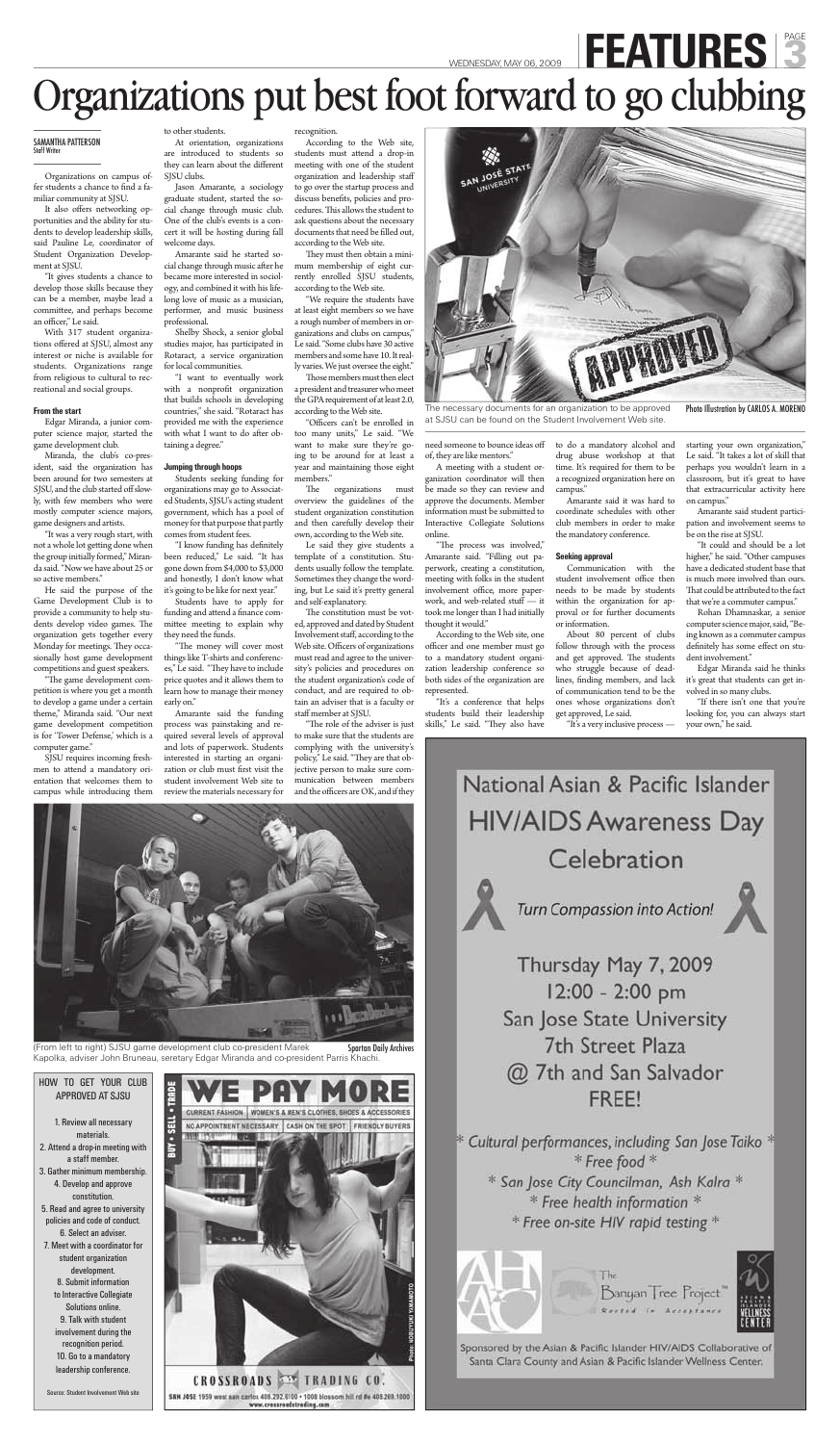#### SAMANTHA PATTERSON Staff Writer

Organizations on campus offer students a chance to find a familiar community at SJSU.

It also offers networking opportunities and the ability for students to develop leadership skills, said Pauline Le, coordinator of Student Organization Development at SJSU.

"It gives students a chance to develop those skills because they can be a member, maybe lead a committee, and perhaps become an officer," Le said.

With 317 student organizations offered at SJSU, almost any interest or niche is available for students. Organizations range from religious to cultural to recreational and social groups.

#### **From the start**

Edgar Miranda, a junior computer science major, started the game development club.

"The game development competition is where you get a month to develop a game under a certain theme," Miranda said. "Our next game development competition is for 'Tower Defense,' which is a computer game."

Miranda, the club's co-president, said the organization has been around for two semesters at SJSU, and the club started off slowly, with few members who were mostly computer science majors, game designers and artists.

"It was a very rough start, with not a whole lot getting done when the group initially formed," Miranda said. "Now we have about 25 or so active members."

He said the purpose of the Game Development Club is to provide a community to help students develop video games. The organization gets together every Monday for meetings. They occasionally host game development competitions and guest speakers.

"I know funding has definitely been reduced," Le said. "It has gone down from \$4,000 to \$3,000 and honestly, I don't know what it's going to be like for next year."

"The money will cover most things like T-shirts and conferences," Le said. "They have to include price quotes and it allows them to learn how to manage their money early on."

SJSU requires incoming freshmen to attend a mandatory orientation that welcomes them to campus while introducing them to other students.

At orientation, organizations are introduced to students so they can learn about the different SJSU clubs.

Jason Amarante, a sociology graduate student, started the social change through music club. One of the club's events is a concert it will be hosting during fall welcome days.

> They must then obtain a minimum membership of eight currently enrolled SJSU students, according to the Web site.

Amarante said he started social change through music after he became more interested in sociology, and combined it with his lifelong love of music as a musician, performer, and music business professional.

> Those members must then elect a president and treasurer who meet the GPA requirement of at least 2.0, according to the Web site.

> "Officers can't be enrolled in too many units," Le said. "We want to make sure they're going to be around for at least a year and maintaining those eight members."

Shelby Shock, a senior global studies major, has participated in Rotaract, a service organization for local communities.

> The organizations must overview the guidelines of the student organization constitution and then carefully develop their own, according to the Web site.

"I want to eventually work with a nonprofit organization that builds schools in developing countries," she said. "Rotaract has provided me with the experience with what I want to do after obtaining a degree."

#### **Jumping through hoops**

Students seeking funding for organizations may go to Associated Students, SJSU's acting student government, which has a pool of money for that purpose that partly comes from student fees.

> "The process was involved," Amarante said. "Filling out paperwork, creating a constitution, meeting with folks in the student involvement office, more paperwork, and web-related stuff — it took me longer than I had initially thought it would."

Students have to apply for funding and attend a finance committee meeting to explain why they need the funds.

> "It's a conference that helps students build their leadership skills," Le said. "They also have

Amarante said the funding process was painstaking and required several levels of approval and lots of paperwork. Students interested in starting an organization or club must first visit the student involvement Web site to review the materials necessary for

#### recognition.

According to the Web site, students must attend a drop-in meeting with one of the student organization and leadership staff to go over the startup process and discuss benefits, policies and procedures. This allows the student to ask questions about the necessary documents that need be filled out, according to the Web site.

"We require the students have at least eight members so we have a rough number of members in organizations and clubs on campus," Le said. "Some clubs have 30 active members and some have 10. It really varies. We just oversee the eight."

(From left to right) SJSU game development club co-president Marek Spartan Daily Archives Kapolka, adviser John Bruneau, seretary Edgar Miranda and co-president Parris Khachi.

Le said they give students a template of a constitution. Students usually follow the template. Sometimes they change the wording, but Le said it's pretty general and self-explanatory.

The constitution must be voted, approved and dated by Student Involvement staff, according to the Web site. Officers of organizations must read and agree to the university's policies and procedures on the student organization's code of conduct, and are required to obtain an adviser that is a faculty or staff member at SJSU.

"The role of the adviser is just to make sure that the students are complying with the university's policy," Le said. "They are that objective person to make sure communication between members and the officers are OK, and if they



need someone to bounce ideas off of, they are like mentors."

A meeting with a student organization coordinator will then be made so they can review and approve the documents. Member information must be submitted to Interactive Collegiate Solutions online.

According to the Web site, one officer and one member must go to a mandatory student organization leadership conference so both sides of the organization are represented.

to do a mandatory alcohol and drug abuse workshop at that time. It's required for them to be a recognized organization here on campus."

Amarante said it was hard to coordinate schedules with other club members in order to make the mandatory conference.

#### **Seeking approval**

Communication with the student involvement office then needs to be made by students within the organization for approval or for further documents or information.

About 80 percent of clubs follow through with the process and get approved. The students who struggle because of deadlines, finding members, and lack of communication tend to be the ones whose organizations don't get approved, Le said.

"It's a very inclusive process —

#### starting your own organization," Le said. "It takes a lot of skill that perhaps you wouldn't learn in a classroom, but it's great to have that extracurricular activity here on campus."

Amarante said student participation and involvement seems to be on the rise at SJSU.

"It could and should be a lot higher," he said. "Other campuses have a dedicated student base that is much more involved than ours. That could be attributed to the fact that we're a commuter campus."

Rohan Dhamnaskar, a senior computer science major, said, "Being known as a commuter campus definitely has some effect on student involvement."

Edgar Miranda said he thinks it's great that students can get involved in so many clubs.

"If there isn't one that you're looking for, you can always start your own," he said.

# National Asian & Pacific Islander **HIV/AIDS Awareness Day**



WEDNESDAY, MAY 06, 2009 FEATURES

# Organizations put best foot forward to go clubbing

The necessary documents for an organization to be approved at SJSU can be found on the Student Involvement Web site.

Photo Illustration by CARLOS A. MORENO

#### HOW TO GET YOUR CLUB APPROVED AT SJSU

1. Review all necessary materials. 2. Attend a drop-in meeting with a staff member. 3. Gather minimum membership. 4. Develop and approve constitution. 5. Read and agree to university policies and code of conduct. 6. Select an adviser. 7. Meet with a coordinator for student organization development. 8. Submit information to Interactive Collegiate Solutions online. 9. Talk with student involvement during the recognition period. 10. Go to a mandatory leadership conference.

Source: Student Involvement Web site



Celebration

Turn Compassion into Action!



Thursday May 7, 2009 12:00 - 2:00 pm San Jose State University **7th Street Plaza** @ 7th and San Salvador FREE!

\* Cultural performances, including San Jose Taiko \* \* Free food \* \* San Jose City Councilman, Ash Kalra \* \* Free health information \* \* Free on-site HIV rapid testing \*



Banyan Tree Project



Sponsored by the Asian & Pacific Islander HIV/AIDS Collaborative of Santa Clara County and Asian & Pacific Islander Wellness Center.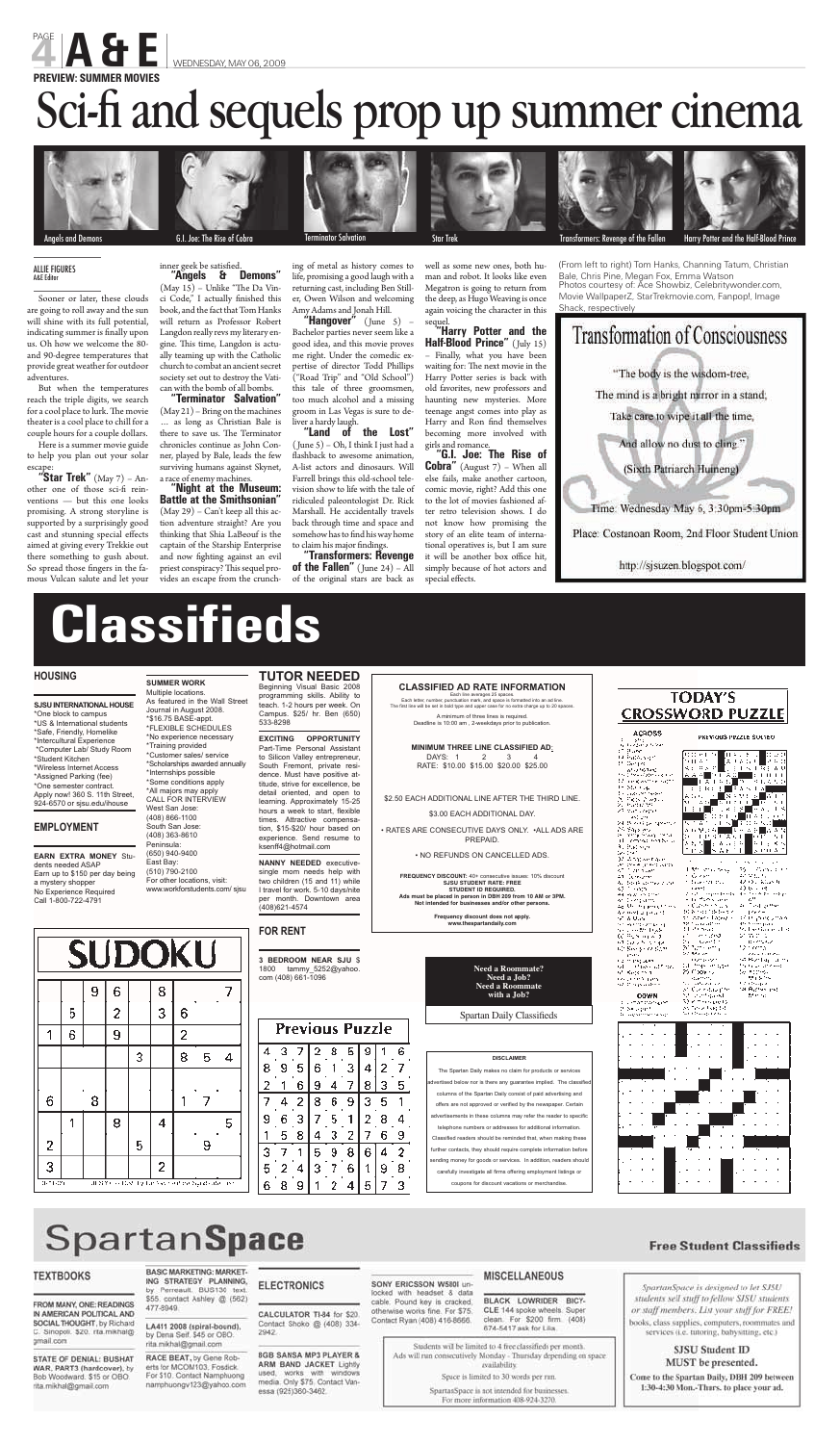# **Classifieds**

#### **HOUSING**

**SJSU INTERNATIONAL HOUSE**  \*One block to campus \*US & International students \*Safe, Friendly, Homelike \*Intercultural Experience \*Computer Lab/ Study Room \*Student Kitchen \*Wireless Internet Access \*Assigned Parking (fee) \*One semester contract. Apply now! 360 S. 11th Street, 924-6570 or sjsu.edu/ihouse

#### **EMPLOYMENT**

**EARN EXTRA MONEY** Students needed ASAP Earn up to \$150 per day being a mystery shopper No Experience Required Call 1-800-722-4791

**SUMMER WORK** Multiple locations. As featured in the Wall Street Journal in August 2008. \*\$16.75 BASE-appt. \*FLEXIBLE SCHEDULES \*No experience necessary \*Training provided \*Customer sales/ service \*Scholarships awarded annually \*Internships possible \*Some conditions apply \*All majors may apply CALL FOR INTERVIEW West San Jose: (408) 866-1100 South San Jose: (408) 363-8610

Peninsula: (650) 940-9400 East Bay: (510) 790-2100 For other locations, visit: www.workforstudents.com/ sjsu

#### **TUTOR NEEDED** Beginning Visual Basic 2008 programming skills. Ability to teach. 1-2 hours per week. On Campus. \$25/ hr. Ben (650)

533-8298

**EXCITING OPPORTUNITY**  Part-Time Personal Assistant to Silicon Valley entrepreneur, South Fremont, private residence. Must have positive attitude, strive for excellence, be detail oriented, and open to learning. Approximately 15-25 hours a week to start, flexible times. Attractive compensation, \$15-\$20/ hour based on experience. Send resume to ksenff4@hotmail.com

**NANNY NEEDED** executivesingle mom needs help with two children (15 and 11) while I travel for work. 5-10 days/nite per month. Downtown area (408)621-4574

#### **FOR RENT**

**3 BEDROOM NEAR SJU** \$ 1800 tammy\_5252@yahoo. com (408) 661-1096

#### **DISCLAIMER**

The Spartan Daily makes no claim for products or services rtised below nor is there any guarantee implied. The classifie of the Spartan Daily consist of paid advertising and ed or verified by the newspaper. Certain ts in these columns may refer the reader to specific s or addresses for additional information Classified readers should be reminded that, when making these cts, they should require complete information before aoods or services. In addition, readers should carefully investigate all firms offering employment listings or coupons for discount vacations or merchandise.

| 经预料帐                      | から早い 外国語            | カッカ 河口 みみな             |
|---------------------------|---------------------|------------------------|
| 24 menjadi kecamatan      | 1115年第6日            | n i P<br><b>A</b> 1    |
| al compared by a          | اشهمها<br>34,       |                        |
| Roberts Ge                |                     | トレッズハ<br>۰             |
| ter tran                  | S A F               | г<br>улсы А            |
| )) Ang seraie             |                     |                        |
| de des Alguns d'Estrits   |                     | . .                    |
| sti i annuan              | l Marchiolaeth      | 35 - Annual I          |
| an Geroom                 | n Gregor            | 40 M.L. N              |
| Authority company and     | tale esti mu        | 42.000 William Ho      |
| <b>Transport</b><br>47.   | ,,,,,               | 2) (s = 19)            |
| et av mine                | 2002 - Spistants    | ووساحه متشقه           |
| er dikerpunts             | the facts are       | c."                    |
| والمتقرب ومرارية الملابوة | ・ じょうりょう こう         | a Tolland              |
| 4년 0세 의사 이상               | Market Children     | ドライー                   |
| ration of the con-        | th Aten Lapez -     | stan paroumas          |
| 化乙烯化磷乙烯化二烯                | 12 Turalation       | 49 hoof park           |
| ne verste tryk.           | El Prostat          | 9. Ledinae al-         |
| 00 Februarie 11           | in andro            | sha ne d               |
| 化阿尔德 人名法法米里德              | ha shekarta         | <b>Brother</b>         |
| 12 Sangar 12 Sam          | 80 November         | tan kema               |
| port.                     | 20 Marto            | Court Perry            |
| na ming seri              | <b>HANDALAN</b>     | sa Boshkip Line        |
| st in the catton          | DE MANGER STATE     | the teacher and compa- |
| sti Kopenha               | 25 C XX 7 2         | te tire.               |
| rzy przedeniem            | Statements.         | サイント                   |
| nd Cooperadore            | a abentuar          | t o thaird             |
|                           | st Conneau pre      | ta Ayraa ind           |
| <b>ODWN</b>               | Michael Gard        | Minimals               |
| the start transport       | Restaurantes de l'A |                        |
| 2 Selvarit                | as Terra Forgital   |                        |
| in sugareste taxot        | Ne Cheap Leas       |                        |
|                           |                     |                        |
|                           |                     |                        |
|                           |                     |                        |
|                           |                     |                        |
|                           |                     |                        |
|                           |                     |                        |
|                           |                     |                        |
|                           |                     |                        |
|                           |                     |                        |
|                           |                     |                        |
|                           |                     |                        |



# **SpartanSpace**

#### **TEXTBOOKS**

FROM MANY, ONE: READINGS IN AMERICAN POLITICAL AND SOCIAL THOUGHT, by Richard C. Sinopoli. \$20. rita.mikhal@ gmail.com

STATE OF DENIAL: BUSHAT WAR, PART3 (hardcover), by Bob Woodward. \$15 or OBO. rita.mikhal@gmail.com

#### **BASIC MARKETING: MARKET-**ING STRATEGY PLANNING.

#### inner geek be satisfied. **"Angels & Demons"**

by Perreault. BUS130 text. \$55. contact Ashley @ (562) 477-8949.

LA411 2008 (spiral-bound), by Dena Seif. \$45 or OBO. rita.mikhal@gmail.com

RACE BEAT, by Gene Roberts for MCOM103, Fosdick. For \$10. Contact Namphuong namphuongv123@yahoo.com

#### **ELECTRONICS**

2942

CALCULATOR TI-84 for \$20. Contact Shoko @ (408) 334-

9

1 2 4

**8GB SANSA MP3 PLAYER &** ARM BAND JACKET Lightly used, works with windows media. Only \$75, Contact Vanessa (925)360-3462.

SONY ERICSSON W580I unlocked with headset & data cable. Pound key is cracked, otherwise works fine. For \$75. Contact Ryan (408) 416-8666.

3

#### MISCELLANEOUS

BLACK LOWRIDER BICY-CLE 144 spoke wheels. Super clean. For \$200 firm. (408) 674-5417 ask for Lilia.

Students will be limited to 4 free classifieds per month. Ads will run consecutively Monday - Thursday depending on space availability.

Space is limited to 30 words per run.

SpartanSpace is not intended for businesses. For more information 408-924-3270.

#### **Free Student Classifieds**



#### SJSU Student ID MUST be presented.

Come to the Spartan Daily, DBH 209 between 1:30-4:30 Mon.-Thurs. to place your ad.

#### **Previous Puzzle** 3 2 8 9 6 4 5 8 9 5 6 3 4 2 7 1  $\overline{2}$ 7 1 6 9 4 8 3 5 4  $\overline{2}$ 8 6 9 3 5 6 3 7 2 9 5 1 8 4 5 3 z 7 8 4 6 8 з 7 5 9 6 4 2  $\mathbf{1}$ 5 7 2 з 6 9  $\mathfrak{1}$ 8 4 6 8 5  $\overline{7}$

 $(May 15)$  – Unlike "The Da Vinci Code," I actually finished this book, and the fact that Tom Hanks will return as Professor Robert Langdon really revs my literary engine. This time, Langdon is actually teaming up with the Catholic church to combat an ancient secret society set out to destroy the Vatican with the bomb of all bombs.

> **CLASSIFIED AD RATE INFORMATION** Each line averages 25 spaces. Each letter, number, punctuation mark, and space is formatted into an ad line. The first line will be set in bold type and upper case for no extra charge up to 20 spaces. A minimum of three lines is required.

Deadline is 10:00 am , 2-weekdays prior to publication.

**"Land of the Lost"**  ( June 5) – Oh, I think I just had a flashback to awesome animation, A-list actors and dinosaurs. Will Farrell brings this old-school television show to life with the tale of ridiculed paleontologist Dr. Rick Marshall. He accidentally travels back through time and space and somehow has to find his way home to claim his major findings.

> **MINIMUM THREE LINE CLASSIFIED AD**: DAYS: 1 2 3 4 RATE: \$10.00 \$15.00 \$20.00 \$25.00

\$2.50 EACH ADDITIONAL LINE AFTER THE THIRD LINE.

\$3.00 EACH ADDITIONAL DAY.

• RATES ARE CONSECUTIVE DAYS ONLY. •ALL ADS ARE



PREPAID.

#### • NO REFUNDS ON CANCELLED ADS.

**FREQUENCY DISCOUNT:** 40+ consecutive issues: 10% discount **SJSU STUDENT RATE: FREE STUDENT ID REQUIRED. Ads must be placed in person in DBH 209 from 10 AM or 3PM. Not intended for businesses and/or other persons.** 

**Frequency discount does not apply. www.thespartandaily.com**

**Half-Blood Prince"** (July 15) – Finally, what you have been waiting for: The next movie in the Harry Potter series is back with old favorites, new professors and haunting new mysteries. More teenage angst comes into play as Harry and Ron find themselves becoming more involved with girls and romance.

**"G.I. Joe: The Rise of Cobra"** (August 7) – When all else fails, make another cartoon, comic movie, right? Add this one to the lot of movies fashioned after retro television shows. I do not know how promising the story of an elite team of international operatives is, but I am sure it will be another box office hit, simply because of hot actors and special effects.

| <b>Need a Roommate?</b> |  |
|-------------------------|--|
| Need a Job?             |  |
| <b>Need a Roommate</b>  |  |
| with a Job?             |  |
|                         |  |

Spartan Daily Classifieds

Sooner or later, these clouds are going to roll away and the sun will shine with its full potential, indicating summer is finally upon us. Oh how we welcome the 80 and 90-degree temperatures that provide great weather for outdoor adventures.

But when the temperatures reach the triple digits, we search for a cool place to lurk. The movie theater is a cool place to chill for a couple hours for a couple dollars.

Here is a summer movie guide to help you plan out your solar escape:

**"Star Trek"** (May 7) – Another one of those sci-fi reinventions — but this one looks promising. A strong storyline is supported by a surprisingly good cast and stunning special effects aimed at giving every Trekkie out there something to gush about. So spread those fingers in the famous Vulcan salute and let your











G.I. Joe: The Rise of Cobra Terminator Salvation Substitution Star Trek Transformers: Revenge of the Fallen Harry Potter and the Half-Blood Prince Star Trek Transformers: Revenge of the Fallen Harry Potter and the Half-Blo

**"Terminator Salvation"**  (May 21) – Bring on the machines … as long as Christian Bale is there to save us. The Terminator chronicles continue as John Conner, played by Bale, leads the few surviving humans against Skynet, a race of enemy machines.

**"Night at the Museum: Battle at the Smithsonian"** (May 29) – Can't keep all this action adventure straight? Are you thinking that Shia LaBeouf is the captain of the Starship Enterprise and now fighting against an evil priest conspiracy? This sequel provides an escape from the crunching of metal as history comes to life, promising a good laugh with a returning cast, including Ben Stiller, Owen Wilson and welcoming Amy Adams and Jonah Hill.

**"Hangover"** ( June 5) – Bachelor parties never seem like a good idea, and this movie proves me right. Under the comedic expertise of director Todd Phillips ("Road Trip" and "Old School") this tale of three groomsmen, too much alcohol and a missing groom in Las Vegas is sure to deliver a hardy laugh.

**"Transformers: Revenge of the Fallen"** (June 24) – All of the original stars are back as

well as some new ones, both hu-

man and robot. It looks like even Megatron is going to return from the deep, as Hugo Weaving is once again voicing the character in this sequel.



Place: Costanoan Room, 2nd Floor Student Union

http://sjsuzen.blogspot.com/

PAGE **A CE WEDNESDAY, MAY 06, 2009** 

# Sci-fi and sequels prop up summer cinema



**PREVIEW: SUMMER MOVIES**

ls and Demons

#### ALLIE FIGURES A&E Editor

(From left to right) Tom Hanks, Channing Tatum, Christian Bale, Chris Pine, Megan Fox, Emma Watson Photos courtesy of: Ace Showbiz, Celebritywonder.com, Movie WallpaperZ, StarTrekmovie.com, Fanpop!, Image Shack, respectively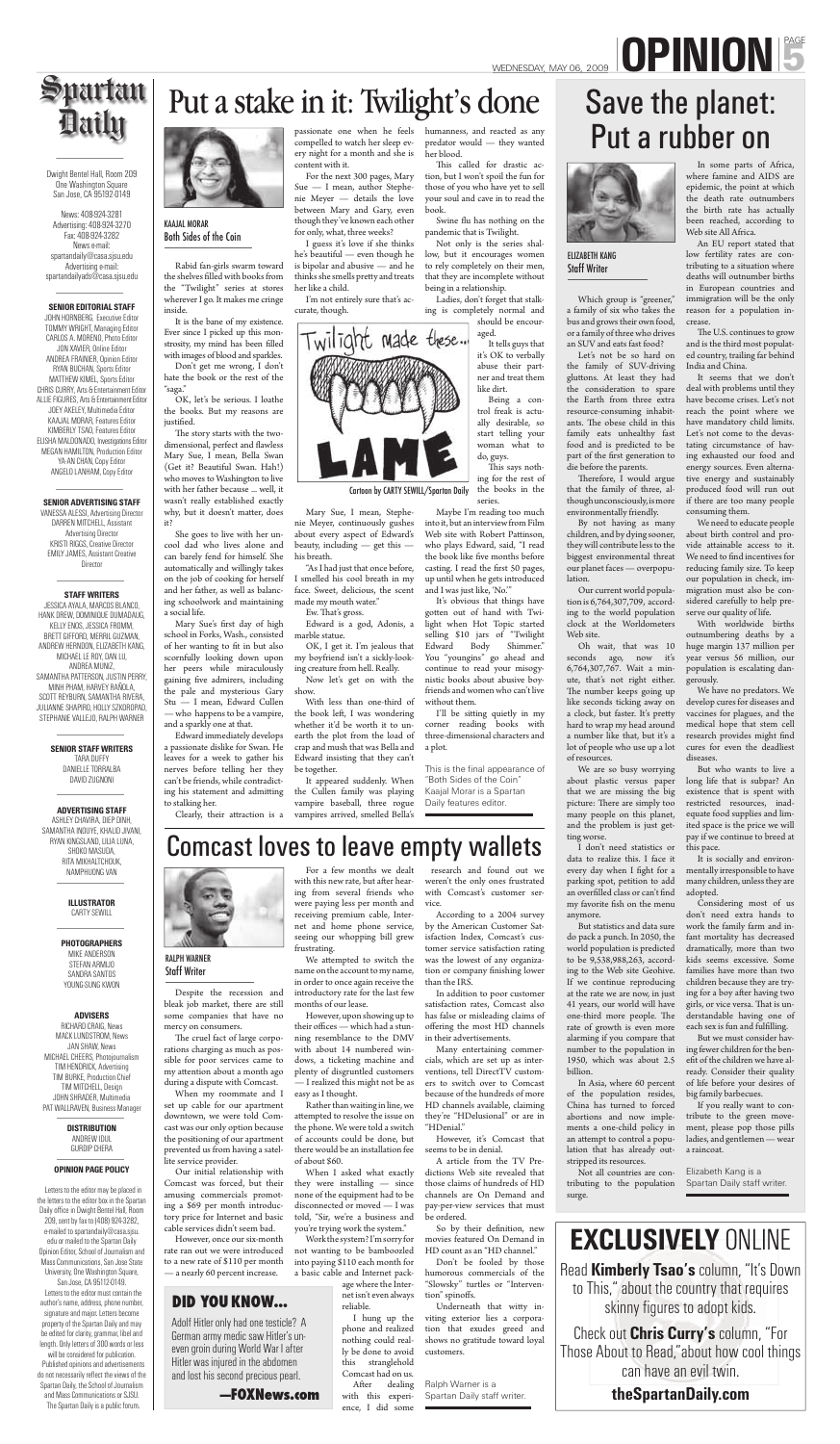Despite the recession and bleak job market, there are still some companies that have no mercy on consumers.

The cruel fact of large corporations charging as much as possible for poor services came to my attention about a month ago during a dispute with Comcast.

When my roommate and I set up cable for our apartment downtown, we were told Comcast was our only option because the positioning of our apartment prevented us from having a satellite service provider.

Our initial relationship with Comcast was forced, but their amusing commercials promoting a \$69 per month introductory price for Internet and basic cable services didn't seem bad.

We attempted to switch the name on the account to my name, in order to once again receive the introductory rate for the last few months of our lease.

However, once our six-month rate ran out we were introduced to a new rate of \$110 per month — a nearly 60 percent increase.

For a few months we dealt with this new rate, but after hearing from several friends who were paying less per month and receiving premium cable, Internet and home phone service, seeing our whopping bill grew frustrating.

> After dealing with this experience, I did some

However, upon showing up to their offices — which had a stunning resemblance to the DMV with about 14 numbered windows, a ticketing machine and plenty of disgruntled customers — I realized this might not be as easy as I thought.

Rather than waiting in line, we attempted to resolve the issue on the phone. We were told a switch of accounts could be done, but there would be an installation fee of about \$60.

When I asked what exactly they were installing — since none of the equipment had to be disconnected or moved — I was told, "Sir, we're a business and you're trying work the system."

Which group is "greener," a family of six who takes the bus and grows their own food, or a family of three who drives an SUV and eats fast food?

Work the system? I'm sorry for not wanting to be bamboozled into paying \$110 each month for a basic cable and Internet pack-

age where the Internet isn't even always reliable.

Therefore, I would argue that the family of three, although unconsciously, is more environmentally friendly.

I hung up the phone and realized nothing could really be done to avoid this stranglehold Comcast had on us.

 research and found out we weren't the only ones frustrated with Comcast's customer service.

According to a 2004 survey by the American Customer Satisfaction Index, Comcast's customer service satisfaction rating was the lowest of any organization or company finishing lower than the IRS.

In addition to poor customer satisfaction rates, Comcast also has false or misleading claims of offering the most HD channels in their advertisements.

Many entertaining commercials, which are set up as interventions, tell DirectTV customers to switch over to Comcast because of the hundreds of more HD channels available, claiming they're "HDelusional" or are in "HDenial."

However, it's Comcast that seems to be in denial.

A article from the TV Predictions Web site revealed that those claims of hundreds of HD channels are On Demand and

The U.S. continues to grow and is the third most populated country, trailing far behind India and China.

pay-per-view services that must be ordered. So by their definition, new movies featured On Demand in HD count as an "HD channel."

humorous commercials of the "Slowsky" turtles or "Interven-

Don't be fooled by those tion" spinoffs. Underneath that witty inviting exterior lies a corporation that exudes greed and

shows no gratitude toward loyal

customers.

Let's not be so hard on the family of SUV-driving gluttons. At least they had the consideration to spare the Earth from three extra resource-consuming inhabitants. The obese child in this family eats unhealthy fast food and is predicted to be part of the first generation to die before the parents.

> Considering most of us don't need extra hands to work the family farm and infant mortality has decreased dramatically, more than two kids seems excessive. Some families have more than two children because they are trying for a boy after having two girls, or vice versa. That is understandable having one of each sex is fun and fulfilling.

By not having as many children, and by dying sooner, they will contribute less to the biggest environmental threat our planet faces — overpopulation.

Our current world population is 6,764,307,709, according to the world population clock at the Worldometers Web site.

OK, let's be serious. I loathe the books. But my reasons are justified.

The story starts with the twodimensional, perfect and flawless Mary Sue, I mean, Bella Swan (Get it? Beautiful Swan. Hah!) who moves to Washington to live with her father because ... well, it wasn't really established exactly why, but it doesn't matter, does it?

> Oh wait, that was 10 seconds ago, now it's 6,764,307,767. Wait a minute, that's not right either. The number keeps going up like seconds ticking away on a clock, but faster. It's pretty hard to wrap my head around a number like that, but it's a lot of people who use up a lot of resources.

We are so busy worrying about plastic versus paper that we are missing the big picture: There are simply too many people on this planet, and the problem is just getting worse.

Mary Sue's first day of high school in Forks, Wash., consisted of her wanting to fit in but also scornfully looking down upon her peers while miraculously gaining five admirers, including the pale and mysterious Gary Stu — I mean, Edward Cullen — who happens to be a vampire, and a sparkly one at that.

I don't need statistics or

data to realize this. I face it every day when I fight for a parking spot, petition to add an overfilled class or can't find my favorite fish on the menu anymore.

But statistics and data sure do pack a punch. In 2050, the world population is predicted to be 9,538,988,263, according to the Web site Geohive. If we continue reproducing at the rate we are now, in just 41 years, our world will have one-third more people. The rate of growth is even more alarming if you compare that number to the population in 1950, which was about 2.5 billion.

the book left, I was wondering whether it'd be worth it to unearth the plot from the load of crap and mush that was Bella and Edward insisting that they can't be together.

Clearly, their attraction is a vampires arrived, smelled Bella's It appeared suddenly. When the Cullen family was playing vampire baseball, three rogue

> In Asia, where 60 percent of the population resides, China has turned to forced abortions and now implements a one-child policy in an attempt to control a population that has already outstripped its resources.

This called for drastic action, but I won't spoil the fun for those of you who have yet to sell your soul and cave in to read the book.

Swine flu has nothing on the pandemic that is Twilight.

> Not all countries are contributing to the population surge.

In some parts of Africa, where famine and AIDS are epidemic, the point at which the death rate outnumbers the birth rate has actually been reached, according to Web site All Africa.

This says nothing for the rest of the books in the series.

An EU report stated that low fertility rates are contributing to a situation where deaths will outnumber births in European countries and immigration will be the only reason for a population increase.

I'll be sitting quietly in my corner reading books with three-dimensional characters and a plot.

It seems that we don't deal with problems until they have become crises. Let's not reach the point where we have mandatory child limits. Let's not come to the devastating circumstance of having exhausted our food and energy sources. Even alternative energy and sustainably produced food will run out if there are too many people consuming them.

VANESSA ALESSI, Advertising Director DARREN MITCHELL, Assistant Advertising Director KRISTI RIGGS, Creative Director EMILY JAMES, Assistant Creative **Director** 

We need to educate people about birth control and provide attainable access to it. We need to find incentives for reducing family size. To keep our population in check, immigration must also be considered carefully to help preserve our quality of life.

With worldwide births outnumbering deaths by a huge margin 137 million per year versus 56 million, our population is escalating dangerously.

We have no predators. We develop cures for diseases and vaccines for plagues, and the medical hope that stem cell research provides might find cures for even the deadliest diseases.

But who wants to live a long life that is subpar? An existence that is spent with restricted resources, inadequate food supplies and limited space is the price we will pay if we continue to breed at this pace.

It is socially and environmentally irresponsible to have many children, unless they are adopted.

But we must consider having fewer children for the benefit of the children we have already. Consider their quality of life before your desires of big family barbecues.

This is the final appearance of "Both Sides of the Coin" Kaajal Morar is a Spartan Daily features editor.

> If you really want to contribute to the green movement, please pop those pills ladies, and gentlemen — wear a raincoat.

Read **Kimberly Tsao's** column, "It's Down to This," about the country that requires skinny figures to adopt kids.

Rabid fan-girls swarm toward the shelves filled with books from the "Twilight" series at stores wherever I go. It makes me cringe inside.

It is the bane of my existence. Ever since I picked up this monstrosity, my mind has been filled with images of blood and sparkles.

Don't get me wrong, I don't hate the book or the rest of the "saga."

She goes to live with her uncool dad who lives alone and can barely fend for himself. She automatically and willingly takes on the job of cooking for herself and her father, as well as balancing schoolwork and maintaining a social life.

Edward immediately develops a passionate dislike for Swan. He leaves for a week to gather his nerves before telling her they can't be friends, while contradicting his statement and admitting to stalking her.

passionate one when he feels humanness, and reacted as any compelled to watch her sleep every night for a month and she is content with it.

For the next 300 pages, Mary Sue — I mean, author Stephenie Meyer — details the love between Mary and Gary, even though they've known each other for only, what, three weeks?

I guess it's love if she thinks he's beautiful — even though he is bipolar and abusive — and he thinks she smells pretty and treats her like a child.

I'm not entirely sure that's accurate, though.



Mary Sue, I mean, Stephenie Meyer, continuously gushes about every aspect of Edward's beauty, including — get this his breath.

"As I had just that once before, I smelled his cool breath in my face. Sweet, delicious, the scent made my mouth water."

Ew. That's gross.

Edward is a god, Adonis, a marble statue.

OK, I get it. I'm jealous that my boyfriend isn't a sickly-looking creature from hell. Really. Now let's get on with the

show. With less than one-third of

predator would — they wanted her blood.

Not only is the series shallow, but it encourages women to rely completely on their men, that they are incomplete without being in a relationship.

Ladies, don't forget that stalking is completely normal and should be encour-

> aged. It tells guys that it's OK to verbally abuse their partner and treat them like dirt.

Being a control freak is actually desirable, so start telling your woman what to do, guys.

Maybe I'm reading too much into it, but an interview from Film Web site with Robert Pattinson, who plays Edward, said, "I read the book like five months before casting. I read the first 50 pages, up until when he gets introduced and I was just like, 'No.'"

It's obvious that things have gotten out of hand with Twilight when Hot Topic started selling \$10 jars of "Twilight Edward Body Shimmer." You "youngins" go ahead and continue to read your misogynistic books about abusive boyfriends and women who can't live without them.

Dwight Bentel Hall, Room 209 One Washington Square San Jose, CA 95192-0149

**Daily** 

News: 408-924-3281 Advertising: 408-924-3270 Fax: 408-924-3282 News e-mail: spartandaily@casa.sjsu.edu Advertising e-mail: spartandailyads@casa.sjsu.edu

#### **SENIOR EDITORIAL STAFF**

JOHN HORNBERG, Executive Editor TOMMY WRIGHT, Managing Editor CARLOS A. MORENO, Photo Editor JON XAVIER, Online Editor ANDREA FRAINIER, Opinion Editor RYAN BUCHAN, Sports Editor MATTHEW KIMEL, Sports Editor CHRIS CURRY, Arts & Entertainment Editor ALLIE FIGURES, Arts & Entertainment Editor JOEY AKELEY, Multimedia Editor KAAJAL MORAR, Features Editor KIMBERLY TSAO, Features Editor ELISHA MALDONADO, Investigations Editor MEGAN HAMILTON, Production Editor YA-AN CHAN, Copy Editor ANGELO LANHAM, Copy Editor

#### **SENIOR ADVERTISING STAFF**

#### **STAFF WRITERS**

JESSICA AYALA, MARCOS BLANCO, HANK DREW, DOMINIQUE DUMADAUG, KELLY ENOS, JESSICA FROMM, BRETT GIFFORD, MERRIL GUZMAN, ANDREW HERNDON, ELIZABETH KANG, MICHAEL LE ROY, DAN LU, ANDREA MUNIZ, SAMANTHA PATTERSON, JUSTIN PERRY, MINH PHAM, HARVEY RAÑOLA, SCOTT REYBURN, SAMANTHA RIVERA, JULIANNE SHAPIRO, HOLLY SZKOROPAD, STEPHANIE VALLEJO, RALPH WARNER

#### **SENIOR STAFF WRITERS**

TARA DUFFY DANIELLE TORRALBA DAVID ZUGNONI

**ADVERTISING STAFF** ASHLEY CHAVIRA, DIEP DINH, SAMANTHA INOUYE, KHALID JIVANI, RYAN KINGSLAND, LILIA LUNA, SHOKO MASUDA, RITA MIKHALTCHOUK, NAMPHUONG VAN



**ILLUSTRATOR** CARTY SEWILL

**PHOTOGRAPHERS** MIKE ANDERSON STEFAN ARMIJO SANDRA SANTOS YOUNG-SUNG KWON

#### **ADVISERS**

RICHARD CRAIG, News MACK LUNDSTROM, News JAN SHAW, News MICHAEL CHEERS, Photojournalism TIM HENDRICK, Advertising TIM BURKE, Production Chief TIM MITCHELL, Design JOHN SHRADER, Multimedia PAT WALLRAVEN, Business Manager

> **DISTRIBUTION** ANDREW IDUL GURDIP CHERA

#### **OPINION PAGE POLICY**

 Letters to the editor may be placed in the letters to the editor box in the Spartan Daily office in Dwight Bentel Hall, Room 209, sent by fax to (408) 924-3282, e-mailed to spartandaily@casa.sjsu. edu or mailed to the Spartan Daily Opinion Editor, School of Journalism and Mass Communications, San Jose State University, One Washington Square,

San Jose, CA 95112-0149. Letters to the editor must contain the author's name, address, phone number, signature and major. Letters become property of the Spartan Daily and may be edited for clarity, grammar, libel and length. Only letters of 300 words or less will be considered for publication. Published opinions and advertisements do not necessarily reflect the views of the Spartan Daily, the School of Journalism and Mass Communications or SJSU.

The Spartan Daily is a public forum.



#### RALPH WARNER Staff Writer

Ralph Warner is a Spartan Daily staff writer.

Adolf Hitler only had one testicle? A German army medic saw Hitler's uneven groin during World War I after Hitler was injured in the abdomen and lost his second precious pearl.

# WEDNESDAY, MAY 06, 2009 **DPINION**

### Spartan Put a stake in it: Twilight's done

**—FOXNews.com**

#### **DID YOU KNOW...**

## Comcast loves to leave empty wallets

Cartoon by CARTY SEWILL/Spartan Daily

#### KAAJAL MORAR Both Sides of the Coin

# Save the planet: Put a rubber on



#### ELIZABETH KANG Staff Writer

Elizabeth Kang is a Spartan Daily staff writer.

Check out **Chris Curry's** column, "For Those About to Read,"about how cool things can have an evil twin.

**theSpartanDaily.com**

## **EXCLUSIVELY** ONLINE